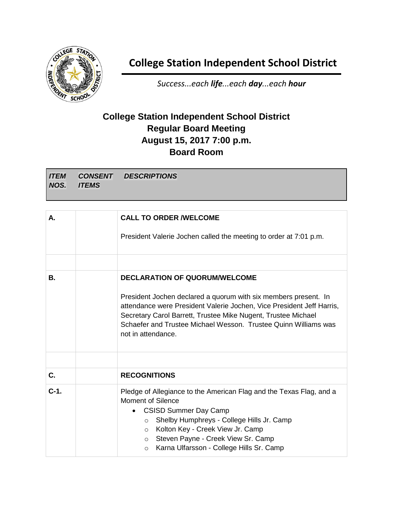

## **College Station Independent School District**

*Success...each life...each day...each hour*

## **College Station Independent School District Regular Board Meeting August 15, 2017 7:00 p.m. Board Room**

*ITEM NOS. CONSENT ITEMS DESCRIPTIONS*

| А.      | <b>CALL TO ORDER /WELCOME</b>                                                                                                                                                                                                                                                                                                           |
|---------|-----------------------------------------------------------------------------------------------------------------------------------------------------------------------------------------------------------------------------------------------------------------------------------------------------------------------------------------|
|         | President Valerie Jochen called the meeting to order at 7:01 p.m.                                                                                                                                                                                                                                                                       |
|         |                                                                                                                                                                                                                                                                                                                                         |
| В.      | <b>DECLARATION OF QUORUM/WELCOME</b>                                                                                                                                                                                                                                                                                                    |
|         | President Jochen declared a quorum with six members present. In<br>attendance were President Valerie Jochen, Vice President Jeff Harris,<br>Secretary Carol Barrett, Trustee Mike Nugent, Trustee Michael<br>Schaefer and Trustee Michael Wesson. Trustee Quinn Williams was<br>not in attendance.                                      |
|         |                                                                                                                                                                                                                                                                                                                                         |
| C.      | <b>RECOGNITIONS</b>                                                                                                                                                                                                                                                                                                                     |
| $C-1$ . | Pledge of Allegiance to the American Flag and the Texas Flag, and a<br>Moment of Silence<br><b>CSISD Summer Day Camp</b><br>Shelby Humphreys - College Hills Jr. Camp<br>$\circ$<br>Kolton Key - Creek View Jr. Camp<br>$\circ$<br>Steven Payne - Creek View Sr. Camp<br>$\circ$<br>Karna Ulfarsson - College Hills Sr. Camp<br>$\circ$ |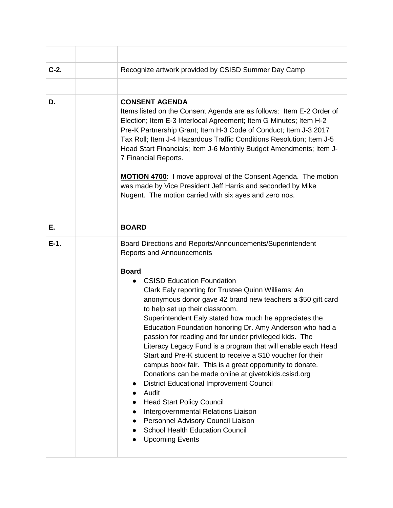| $C-2.$ | Recognize artwork provided by CSISD Summer Day Camp                                                                                                                                                                                                                                                                                                                                                                                                                                                                                                                                                                                                                                                                                                                                                                                                                                                                                                                                             |
|--------|-------------------------------------------------------------------------------------------------------------------------------------------------------------------------------------------------------------------------------------------------------------------------------------------------------------------------------------------------------------------------------------------------------------------------------------------------------------------------------------------------------------------------------------------------------------------------------------------------------------------------------------------------------------------------------------------------------------------------------------------------------------------------------------------------------------------------------------------------------------------------------------------------------------------------------------------------------------------------------------------------|
|        |                                                                                                                                                                                                                                                                                                                                                                                                                                                                                                                                                                                                                                                                                                                                                                                                                                                                                                                                                                                                 |
| D.     | <b>CONSENT AGENDA</b><br>Items listed on the Consent Agenda are as follows: Item E-2 Order of<br>Election; Item E-3 Interlocal Agreement; Item G Minutes; Item H-2<br>Pre-K Partnership Grant; Item H-3 Code of Conduct; Item J-3 2017<br>Tax Roll; Item J-4 Hazardous Traffic Conditions Resolution; Item J-5<br>Head Start Financials; Item J-6 Monthly Budget Amendments; Item J-<br>7 Financial Reports.<br><b>MOTION 4700:</b> I move approval of the Consent Agenda. The motion<br>was made by Vice President Jeff Harris and seconded by Mike<br>Nugent. The motion carried with six ayes and zero nos.                                                                                                                                                                                                                                                                                                                                                                                  |
|        |                                                                                                                                                                                                                                                                                                                                                                                                                                                                                                                                                                                                                                                                                                                                                                                                                                                                                                                                                                                                 |
| Е.     | <b>BOARD</b>                                                                                                                                                                                                                                                                                                                                                                                                                                                                                                                                                                                                                                                                                                                                                                                                                                                                                                                                                                                    |
| $E-1.$ | Board Directions and Reports/Announcements/Superintendent<br><b>Reports and Announcements</b><br><b>Board</b><br><b>CSISD Education Foundation</b><br>Clark Ealy reporting for Trustee Quinn Williams: An<br>anonymous donor gave 42 brand new teachers a \$50 gift card<br>to help set up their classroom.<br>Superintendent Ealy stated how much he appreciates the<br>Education Foundation honoring Dr. Amy Anderson who had a<br>passion for reading and for under privileged kids. The<br>Literacy Legacy Fund is a program that will enable each Head<br>Start and Pre-K student to receive a \$10 voucher for their<br>campus book fair. This is a great opportunity to donate.<br>Donations can be made online at givetokids.csisd.org<br><b>District Educational Improvement Council</b><br>Audit<br><b>Head Start Policy Council</b><br>Intergovernmental Relations Liaison<br>Personnel Advisory Council Liaison<br><b>School Health Education Council</b><br><b>Upcoming Events</b> |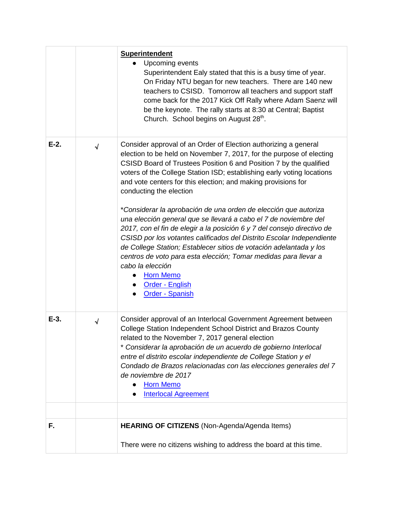|         |           | <b>Superintendent</b><br>Upcoming events<br>Superintendent Ealy stated that this is a busy time of year.<br>On Friday NTU began for new teachers. There are 140 new<br>teachers to CSISD. Tomorrow all teachers and support staff<br>come back for the 2017 Kick Off Rally where Adam Saenz will<br>be the keynote. The rally starts at 8:30 at Central; Baptist<br>Church. School begins on August 28 <sup>th</sup> .                                                                                                                                                                                                                                                                                                                                                                                                                                                                                       |
|---------|-----------|--------------------------------------------------------------------------------------------------------------------------------------------------------------------------------------------------------------------------------------------------------------------------------------------------------------------------------------------------------------------------------------------------------------------------------------------------------------------------------------------------------------------------------------------------------------------------------------------------------------------------------------------------------------------------------------------------------------------------------------------------------------------------------------------------------------------------------------------------------------------------------------------------------------|
| $E-2$ . | $\sqrt{}$ | Consider approval of an Order of Election authorizing a general<br>election to be held on November 7, 2017, for the purpose of electing<br>CSISD Board of Trustees Position 6 and Position 7 by the qualified<br>voters of the College Station ISD; establishing early voting locations<br>and vote centers for this election; and making provisions for<br>conducting the election<br>*Considerar la aprobación de una orden de elección que autoriza<br>una elección general que se llevará a cabo el 7 de noviembre del<br>2017, con el fin de elegir a la posición 6 y 7 del consejo directivo de<br>CSISD por los votantes calificados del Distrito Escolar Independiente<br>de College Station; Establecer sitios de votación adelantada y los<br>centros de voto para esta elección; Tomar medidas para llevar a<br>cabo la elección<br><b>Horn Memo</b><br>Order - English<br><b>Order - Spanish</b> |
| $E-3$ . | $\sqrt{}$ | Consider approval of an Interlocal Government Agreement between<br>College Station Independent School District and Brazos County<br>related to the November 7, 2017 general election<br>* Considerar la aprobación de un acuerdo de gobierno Interlocal<br>entre el distrito escolar independiente de College Station y el<br>Condado de Brazos relacionadas con las elecciones generales del 7<br>de noviembre de 2017<br><b>Horn Memo</b><br><b>Interlocal Agreement</b>                                                                                                                                                                                                                                                                                                                                                                                                                                   |
| F.      |           | HEARING OF CITIZENS (Non-Agenda/Agenda Items)                                                                                                                                                                                                                                                                                                                                                                                                                                                                                                                                                                                                                                                                                                                                                                                                                                                                |
|         |           | There were no citizens wishing to address the board at this time.                                                                                                                                                                                                                                                                                                                                                                                                                                                                                                                                                                                                                                                                                                                                                                                                                                            |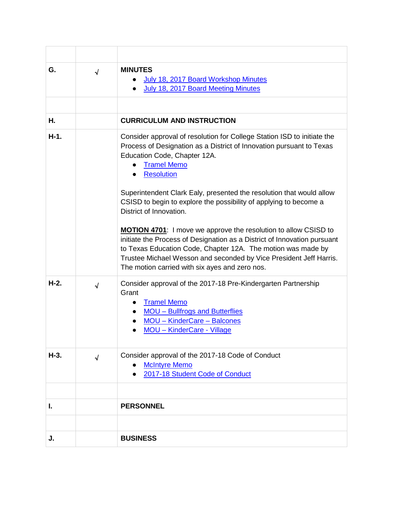| G.     | $\sqrt{2}$ | <b>MINUTES</b><br>July 18, 2017 Board Workshop Minutes<br>July 18, 2017 Board Meeting Minutes                                                                                                                                                                                                                                                                                                                                                                                                                                                                                                                                                                                                                                                    |
|--------|------------|--------------------------------------------------------------------------------------------------------------------------------------------------------------------------------------------------------------------------------------------------------------------------------------------------------------------------------------------------------------------------------------------------------------------------------------------------------------------------------------------------------------------------------------------------------------------------------------------------------------------------------------------------------------------------------------------------------------------------------------------------|
| Η.     |            | <b>CURRICULUM AND INSTRUCTION</b>                                                                                                                                                                                                                                                                                                                                                                                                                                                                                                                                                                                                                                                                                                                |
| $H-1.$ |            | Consider approval of resolution for College Station ISD to initiate the<br>Process of Designation as a District of Innovation pursuant to Texas<br>Education Code, Chapter 12A.<br><b>Tramel Memo</b><br><b>Resolution</b><br>Superintendent Clark Ealy, presented the resolution that would allow<br>CSISD to begin to explore the possibility of applying to become a<br>District of Innovation.<br><b>MOTION 4701:</b> I move we approve the resolution to allow CSISD to<br>initiate the Process of Designation as a District of Innovation pursuant<br>to Texas Education Code, Chapter 12A. The motion was made by<br>Trustee Michael Wesson and seconded by Vice President Jeff Harris.<br>The motion carried with six ayes and zero nos. |
| $H-2.$ | $\sqrt{}$  | Consider approval of the 2017-18 Pre-Kindergarten Partnership<br>Grant<br><b>Tramel Memo</b><br><b>MOU - Bullfrogs and Butterflies</b><br>MOU - KinderCare - Balcones<br><b>MOU - KinderCare - Village</b>                                                                                                                                                                                                                                                                                                                                                                                                                                                                                                                                       |
| $H-3.$ | $\sqrt{ }$ | Consider approval of the 2017-18 Code of Conduct<br><b>McIntyre Memo</b><br>2017-18 Student Code of Conduct                                                                                                                                                                                                                                                                                                                                                                                                                                                                                                                                                                                                                                      |
| L.     |            | <b>PERSONNEL</b>                                                                                                                                                                                                                                                                                                                                                                                                                                                                                                                                                                                                                                                                                                                                 |
|        |            |                                                                                                                                                                                                                                                                                                                                                                                                                                                                                                                                                                                                                                                                                                                                                  |
|        |            |                                                                                                                                                                                                                                                                                                                                                                                                                                                                                                                                                                                                                                                                                                                                                  |
| J.     |            | <b>BUSINESS</b>                                                                                                                                                                                                                                                                                                                                                                                                                                                                                                                                                                                                                                                                                                                                  |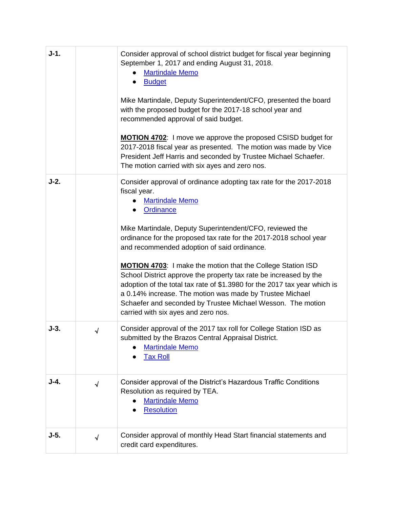| $J-1.$ |            | Consider approval of school district budget for fiscal year beginning<br>September 1, 2017 and ending August 31, 2018.<br><b>Martindale Memo</b><br><b>Budget</b><br>Mike Martindale, Deputy Superintendent/CFO, presented the board<br>with the proposed budget for the 2017-18 school year and<br>recommended approval of said budget.<br><b>MOTION 4702:</b> I move we approve the proposed CSISD budget for<br>2017-2018 fiscal year as presented. The motion was made by Vice<br>President Jeff Harris and seconded by Trustee Michael Schaefer.<br>The motion carried with six ayes and zero nos.                                                                                             |
|--------|------------|-----------------------------------------------------------------------------------------------------------------------------------------------------------------------------------------------------------------------------------------------------------------------------------------------------------------------------------------------------------------------------------------------------------------------------------------------------------------------------------------------------------------------------------------------------------------------------------------------------------------------------------------------------------------------------------------------------|
| $J-2.$ |            | Consider approval of ordinance adopting tax rate for the 2017-2018<br>fiscal year.<br><b>Martindale Memo</b><br>Ordinance<br>Mike Martindale, Deputy Superintendent/CFO, reviewed the<br>ordinance for the proposed tax rate for the 2017-2018 school year<br>and recommended adoption of said ordinance.<br><b>MOTION 4703:</b> I make the motion that the College Station ISD<br>School District approve the property tax rate be increased by the<br>adoption of the total tax rate of \$1.3980 for the 2017 tax year which is<br>a 0.14% increase. The motion was made by Trustee Michael<br>Schaefer and seconded by Trustee Michael Wesson. The motion<br>carried with six ayes and zero nos. |
| $J-3.$ | √          | Consider approval of the 2017 tax roll for College Station ISD as<br>submitted by the Brazos Central Appraisal District.<br><b>Martindale Memo</b><br><b>Tax Roll</b>                                                                                                                                                                                                                                                                                                                                                                                                                                                                                                                               |
| $J-4.$ | $\sqrt{}$  | Consider approval of the District's Hazardous Traffic Conditions<br>Resolution as required by TEA.<br><b>Martindale Memo</b><br><b>Resolution</b>                                                                                                                                                                                                                                                                                                                                                                                                                                                                                                                                                   |
| $J-5.$ | $\sqrt{2}$ | Consider approval of monthly Head Start financial statements and<br>credit card expenditures.                                                                                                                                                                                                                                                                                                                                                                                                                                                                                                                                                                                                       |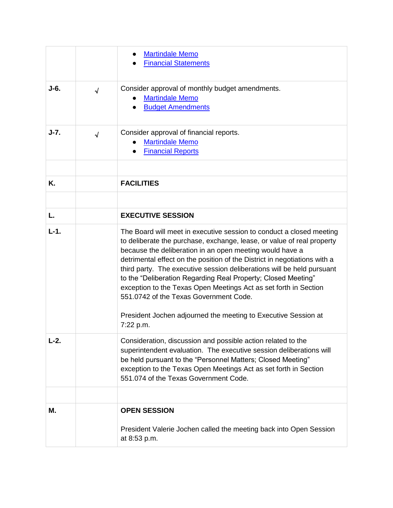|        |            | <b>Martindale Memo</b><br><b>Financial Statements</b>                                                                                                                                                                                                                                                                                                                                                                                                                                                                                            |
|--------|------------|--------------------------------------------------------------------------------------------------------------------------------------------------------------------------------------------------------------------------------------------------------------------------------------------------------------------------------------------------------------------------------------------------------------------------------------------------------------------------------------------------------------------------------------------------|
| J-6.   | $\sqrt{ }$ | Consider approval of monthly budget amendments.<br><b>Martindale Memo</b><br><b>Budget Amendments</b>                                                                                                                                                                                                                                                                                                                                                                                                                                            |
| $J-7.$ | $\sqrt{ }$ | Consider approval of financial reports.<br><b>Martindale Memo</b><br><b>Financial Reports</b>                                                                                                                                                                                                                                                                                                                                                                                                                                                    |
| Κ.     |            | <b>FACILITIES</b>                                                                                                                                                                                                                                                                                                                                                                                                                                                                                                                                |
| L.     |            | <b>EXECUTIVE SESSION</b>                                                                                                                                                                                                                                                                                                                                                                                                                                                                                                                         |
|        |            |                                                                                                                                                                                                                                                                                                                                                                                                                                                                                                                                                  |
| $L-1.$ |            | The Board will meet in executive session to conduct a closed meeting<br>to deliberate the purchase, exchange, lease, or value of real property<br>because the deliberation in an open meeting would have a<br>detrimental effect on the position of the District in negotiations with a<br>third party. The executive session deliberations will be held pursuant<br>to the "Deliberation Regarding Real Property; Closed Meeting"<br>exception to the Texas Open Meetings Act as set forth in Section<br>551,0742 of the Texas Government Code. |
|        |            | President Jochen adjourned the meeting to Executive Session at<br>7:22 p.m.                                                                                                                                                                                                                                                                                                                                                                                                                                                                      |
| L-2.   |            | Consideration, discussion and possible action related to the<br>superintendent evaluation. The executive session deliberations will<br>be held pursuant to the "Personnel Matters; Closed Meeting"<br>exception to the Texas Open Meetings Act as set forth in Section<br>551.074 of the Texas Government Code.                                                                                                                                                                                                                                  |
|        |            |                                                                                                                                                                                                                                                                                                                                                                                                                                                                                                                                                  |
| Μ.     |            | <b>OPEN SESSION</b>                                                                                                                                                                                                                                                                                                                                                                                                                                                                                                                              |
|        |            | President Valerie Jochen called the meeting back into Open Session<br>at 8:53 p.m.                                                                                                                                                                                                                                                                                                                                                                                                                                                               |